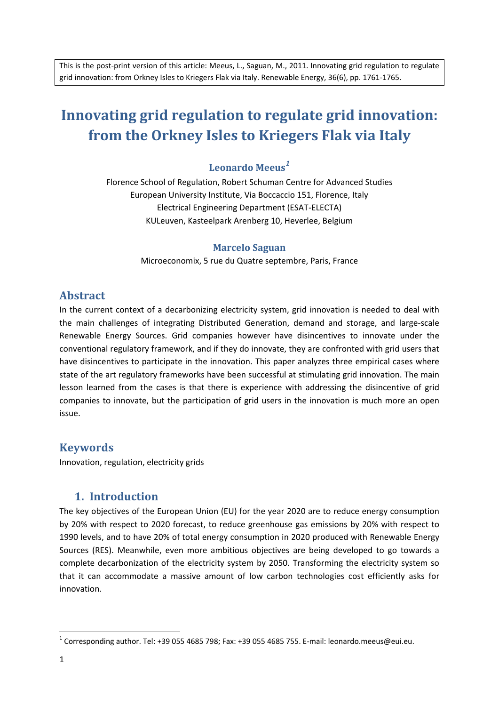This is the post-print version of this article: Meeus, L., Saguan, M., 2011. Innovating grid regulation to regulate grid innovation: from Orkney Isles to Kriegers Flak via Italy. Renewable Energy, 36(6), pp. 1761-1765.

# **Innovating grid regulation to regulate grid innovation: from the Orkney Isles to Kriegers Flak via Italy**

# **Leonardo Meeus***[1](#page-0-0)*

Florence School of Regulation, Robert Schuman Centre for Advanced Studies European University Institute, Via Boccaccio 151, Florence, Italy Electrical Engineering Department (ESAT-ELECTA) KULeuven, Kasteelpark Arenberg 10, Heverlee, Belgium

#### **Marcelo Saguan**

Microeconomix, 5 rue du Quatre septembre, Paris, France

# **Abstract**

In the current context of a decarbonizing electricity system, grid innovation is needed to deal with the main challenges of integrating Distributed Generation, demand and storage, and large-scale Renewable Energy Sources. Grid companies however have disincentives to innovate under the conventional regulatory framework, and if they do innovate, they are confronted with grid users that have disincentives to participate in the innovation. This paper analyzes three empirical cases where state of the art regulatory frameworks have been successful at stimulating grid innovation. The main lesson learned from the cases is that there is experience with addressing the disincentive of grid companies to innovate, but the participation of grid users in the innovation is much more an open issue.

## **Keywords**

Innovation, regulation, electricity grids

# **1. Introduction**

The key objectives of the European Union (EU) for the year 2020 are to reduce energy consumption by 20% with respect to 2020 forecast, to reduce greenhouse gas emissions by 20% with respect to 1990 levels, and to have 20% of total energy consumption in 2020 produced with Renewable Energy Sources (RES). Meanwhile, even more ambitious objectives are being developed to go towards a complete decarbonization of the electricity system by 2050. Transforming the electricity system so that it can accommodate a massive amount of low carbon technologies cost efficiently asks for innovation.

<span id="page-0-0"></span> $1$  Corresponding author. Tel: +39 055 4685 798; Fax: +39 055 4685 755. E-mail: leonardo.meeus@eui.eu.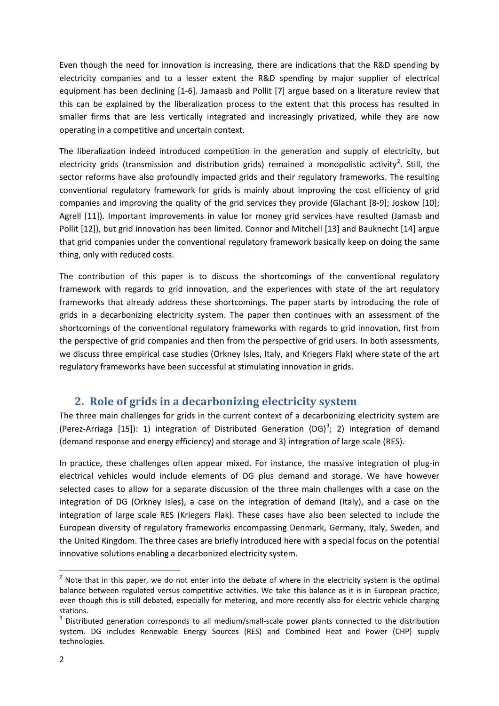Even though the need for innovation is increasing, there are indications that the R&D spending by electricity companies and to a lesser extent the R&D spending by major supplier of electrical equipment has been declining [1-6]. Jamaasb and Pollit [7] argue based on a literature review that this can be explained by the liberalization process to the extent that this process has resulted in smaller firms that are less vertically integrated and increasingly privatized, while they are now operating in a competitive and uncertain context.

The liberalization indeed introduced competition in the generation and supply of electricity, but electricity grids (transmission and distribution grids) remained a monopolistic activity<sup>[2](#page-1-0)</sup>. Still, the sector reforms have also profoundly impacted grids and their regulatory frameworks. The resulting conventional regulatory framework for grids is mainly about improving the cost efficiency of grid companies and improving the quality of the grid services they provide (Glachant [8-9]; Joskow [10]; Agrell [11]). Important improvements in value for money grid services have resulted (Jamasb and Pollit [12]), but grid innovation has been limited. Connor and Mitchell [13] and Bauknecht [14] argue that grid companies under the conventional regulatory framework basically keep on doing the same thing, only with reduced costs.

The contribution of this paper is to discuss the shortcomings of the conventional regulatory framework with regards to grid innovation, and the experiences with state of the art regulatory frameworks that already address these shortcomings. The paper starts by introducing the role of grids in a decarbonizing electricity system. The paper then continues with an assessment of the shortcomings of the conventional regulatory frameworks with regards to grid innovation, first from the perspective of grid companies and then from the perspective of grid users. In both assessments, we discuss three empirical case studies (Orkney Isles, Italy, and Kriegers Flak) where state of the art regulatory frameworks have been successful at stimulating innovation in grids.

## **2. Role of grids in a decarbonizing electricity system**

The three main challenges for grids in the current context of a decarbonizing electricity system are (Perez-Arriaga [15]): 1) integration of Distributed Generation (DG)<sup>[3](#page-1-1)</sup>; 2) integration of demand (demand response and energy efficiency) and storage and 3) integration of large scale (RES).

In practice, these challenges often appear mixed. For instance, the massive integration of plug-in electrical vehicles would include elements of DG plus demand and storage. We have however selected cases to allow for a separate discussion of the three main challenges with a case on the integration of DG (Orkney Isles), a case on the integration of demand (Italy), and a case on the integration of large scale RES (Kriegers Flak). These cases have also been selected to include the European diversity of regulatory frameworks encompassing Denmark, Germany, Italy, Sweden, and the United Kingdom. The three cases are briefly introduced here with a special focus on the potential innovative solutions enabling a decarbonized electricity system.

<span id="page-1-0"></span> $2$  Note that in this paper, we do not enter into the debate of where in the electricity system is the optimal balance between regulated versus competitive activities. We take this balance as it is in European practice, even though this is still debated, especially for metering, and more recently also for electric vehicle charging stations.

<span id="page-1-1"></span><sup>&</sup>lt;sup>3</sup> Distributed generation corresponds to all medium/small-scale power plants connected to the distribution system. DG includes Renewable Energy Sources (RES) and Combined Heat and Power (CHP) supply technologies.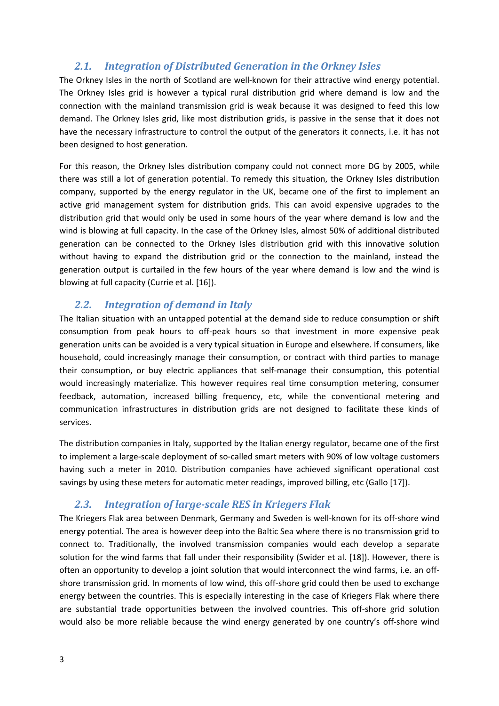## *2.1. Integration of Distributed Generation in the Orkney Isles*

The Orkney Isles in the north of Scotland are well-known for their attractive wind energy potential. The Orkney Isles grid is however a typical rural distribution grid where demand is low and the connection with the mainland transmission grid is weak because it was designed to feed this low demand. The Orkney Isles grid, like most distribution grids, is passive in the sense that it does not have the necessary infrastructure to control the output of the generators it connects, i.e. it has not been designed to host generation.

For this reason, the Orkney Isles distribution company could not connect more DG by 2005, while there was still a lot of generation potential. To remedy this situation, the Orkney Isles distribution company, supported by the energy regulator in the UK, became one of the first to implement an active grid management system for distribution grids. This can avoid expensive upgrades to the distribution grid that would only be used in some hours of the year where demand is low and the wind is blowing at full capacity. In the case of the Orkney Isles, almost 50% of additional distributed generation can be connected to the Orkney Isles distribution grid with this innovative solution without having to expand the distribution grid or the connection to the mainland, instead the generation output is curtailed in the few hours of the year where demand is low and the wind is blowing at full capacity (Currie et al. [16]).

# *2.2. Integration of demand in Italy*

The Italian situation with an untapped potential at the demand side to reduce consumption or shift consumption from peak hours to off-peak hours so that investment in more expensive peak generation units can be avoided is a very typical situation in Europe and elsewhere. If consumers, like household, could increasingly manage their consumption, or contract with third parties to manage their consumption, or buy electric appliances that self-manage their consumption, this potential would increasingly materialize. This however requires real time consumption metering, consumer feedback, automation, increased billing frequency, etc, while the conventional metering and communication infrastructures in distribution grids are not designed to facilitate these kinds of services.

The distribution companies in Italy, supported by the Italian energy regulator, became one of the first to implement a large-scale deployment of so-called smart meters with 90% of low voltage customers having such a meter in 2010. Distribution companies have achieved significant operational cost savings by using these meters for automatic meter readings, improved billing, etc (Gallo [17]).

## *2.3. Integration of large-scale RES in Kriegers Flak*

The Kriegers Flak area between Denmark, Germany and Sweden is well-known for its off-shore wind energy potential. The area is however deep into the Baltic Sea where there is no transmission grid to connect to. Traditionally, the involved transmission companies would each develop a separate solution for the wind farms that fall under their responsibility (Swider et al. [18]). However, there is often an opportunity to develop a joint solution that would interconnect the wind farms, i.e. an offshore transmission grid. In moments of low wind, this off-shore grid could then be used to exchange energy between the countries. This is especially interesting in the case of Kriegers Flak where there are substantial trade opportunities between the involved countries. This off-shore grid solution would also be more reliable because the wind energy generated by one country's off-shore wind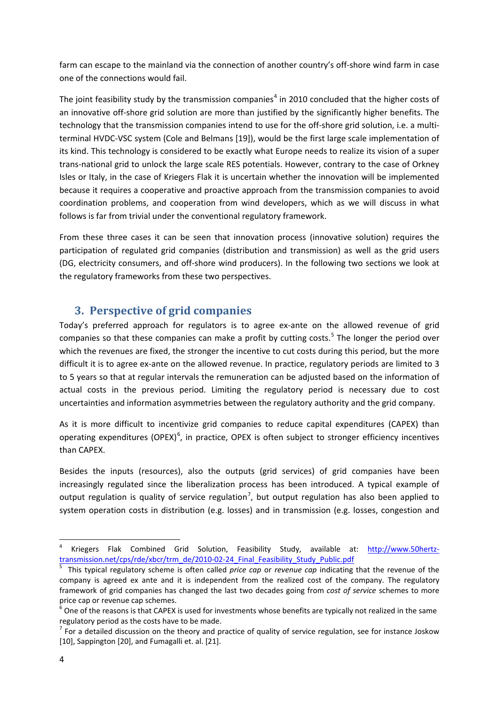farm can escape to the mainland via the connection of another country's off-shore wind farm in case one of the connections would fail.

The joint feasibility study by the transmission companies<sup>[4](#page-3-0)</sup> in 2010 concluded that the higher costs of an innovative off-shore grid solution are more than justified by the significantly higher benefits. The technology that the transmission companies intend to use for the off-shore grid solution, i.e. a multiterminal HVDC-VSC system (Cole and Belmans [19]), would be the first large scale implementation of its kind. This technology is considered to be exactly what Europe needs to realize its vision of a super trans-national grid to unlock the large scale RES potentials. However, contrary to the case of Orkney Isles or Italy, in the case of Kriegers Flak it is uncertain whether the innovation will be implemented because it requires a cooperative and proactive approach from the transmission companies to avoid coordination problems, and cooperation from wind developers, which as we will discuss in what follows is far from trivial under the conventional regulatory framework.

From these three cases it can be seen that innovation process (innovative solution) requires the participation of regulated grid companies (distribution and transmission) as well as the grid users (DG, electricity consumers, and off-shore wind producers). In the following two sections we look at the regulatory frameworks from these two perspectives.

# **3. Perspective of grid companies**

Today's preferred approach for regulators is to agree ex-ante on the allowed revenue of grid companies so that these companies can make a profit by cutting costs. [5](#page-3-1) The longer the period over which the revenues are fixed, the stronger the incentive to cut costs during this period, but the more difficult it is to agree ex-ante on the allowed revenue. In practice, regulatory periods are limited to 3 to 5 years so that at regular intervals the remuneration can be adjusted based on the information of actual costs in the previous period. Limiting the regulatory period is necessary due to cost uncertainties and information asymmetries between the regulatory authority and the grid company.

As it is more difficult to incentivize grid companies to reduce capital expenditures (CAPEX) than operating expenditures (OPEX) $<sup>6</sup>$  $<sup>6</sup>$  $<sup>6</sup>$ , in practice, OPEX is often subject to stronger efficiency incentives</sup> than CAPEX.

Besides the inputs (resources), also the outputs (grid services) of grid companies have been increasingly regulated since the liberalization process has been introduced. A typical example of output regulation is quality of service regulation<sup>[7](#page-3-3)</sup>, but output regulation has also been applied to system operation costs in distribution (e.g. losses) and in transmission (e.g. losses, congestion and

<span id="page-3-0"></span>Kriegers Flak Combined Grid Solution, Feasibility Study, available at: [http://www.50hertz](http://www.50hertz-transmission.net/cps/rde/xbcr/trm_de/2010-02-24_Final_Feasibility_Study_Public.pdf)[transmission.net/cps/rde/xbcr/trm\\_de/2010-02-24\\_Final\\_Feasibility\\_Study\\_Public.pdf](http://www.50hertz-transmission.net/cps/rde/xbcr/trm_de/2010-02-24_Final_Feasibility_Study_Public.pdf)<br>
<sup>5</sup> This typical regulatory scheme is often called *price cap* or *revenue cap* indicating that the revenue of the

<span id="page-3-1"></span>company is agreed ex ante and it is independent from the realized cost of the company. The regulatory framework of grid companies has changed the last two decades going from *cost of service* schemes to more price cap or revenue cap schemes.

<span id="page-3-2"></span><sup>6</sup> One of the reasons is that CAPEX is used for investments whose benefits are typically not realized in the same regulatory period as the costs have to be made.

<span id="page-3-3"></span> $<sup>7</sup>$  For a detailed discussion on the theory and practice of quality of service regulation, see for instance Joskow</sup> [10], Sappington [20], and Fumagalli et. al. [21].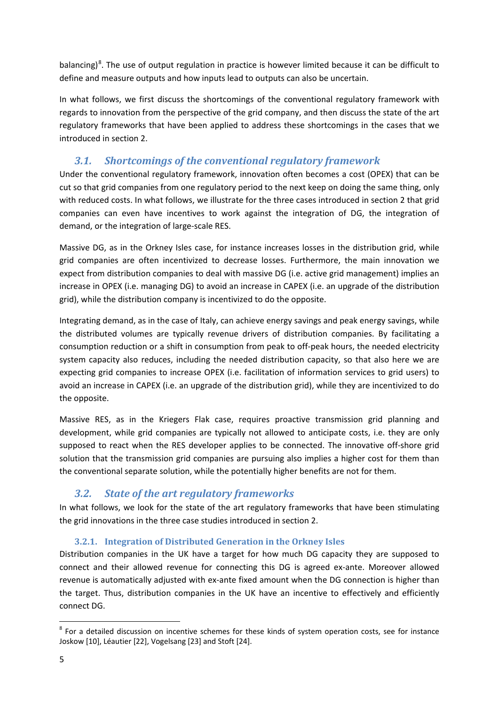balancing)<sup>[8](#page-4-0)</sup>. The use of output regulation in practice is however limited because it can be difficult to define and measure outputs and how inputs lead to outputs can also be uncertain.

In what follows, we first discuss the shortcomings of the conventional regulatory framework with regards to innovation from the perspective of the grid company, and then discuss the state of the art regulatory frameworks that have been applied to address these shortcomings in the cases that we introduced in section 2.

# *3.1. Shortcomings of the conventional regulatory framework*

Under the conventional regulatory framework, innovation often becomes a cost (OPEX) that can be cut so that grid companies from one regulatory period to the next keep on doing the same thing, only with reduced costs. In what follows, we illustrate for the three cases introduced in section 2 that grid companies can even have incentives to work against the integration of DG, the integration of demand, or the integration of large-scale RES.

Massive DG, as in the Orkney Isles case, for instance increases losses in the distribution grid, while grid companies are often incentivized to decrease losses. Furthermore, the main innovation we expect from distribution companies to deal with massive DG (i.e. active grid management) implies an increase in OPEX (i.e. managing DG) to avoid an increase in CAPEX (i.e. an upgrade of the distribution grid), while the distribution company is incentivized to do the opposite.

Integrating demand, as in the case of Italy, can achieve energy savings and peak energy savings, while the distributed volumes are typically revenue drivers of distribution companies. By facilitating a consumption reduction or a shift in consumption from peak to off-peak hours, the needed electricity system capacity also reduces, including the needed distribution capacity, so that also here we are expecting grid companies to increase OPEX (i.e. facilitation of information services to grid users) to avoid an increase in CAPEX (i.e. an upgrade of the distribution grid), while they are incentivized to do the opposite.

Massive RES, as in the Kriegers Flak case, requires proactive transmission grid planning and development, while grid companies are typically not allowed to anticipate costs, i.e. they are only supposed to react when the RES developer applies to be connected. The innovative off-shore grid solution that the transmission grid companies are pursuing also implies a higher cost for them than the conventional separate solution, while the potentially higher benefits are not for them.

# *3.2. State of the art regulatory frameworks*

In what follows, we look for the state of the art regulatory frameworks that have been stimulating the grid innovations in the three case studies introduced in section 2.

#### **3.2.1. Integration of Distributed Generation in the Orkney Isles**

Distribution companies in the UK have a target for how much DG capacity they are supposed to connect and their allowed revenue for connecting this DG is agreed ex-ante. Moreover allowed revenue is automatically adjusted with ex-ante fixed amount when the DG connection is higher than the target. Thus, distribution companies in the UK have an incentive to effectively and efficiently connect DG.

<span id="page-4-0"></span><sup>&</sup>lt;sup>8</sup> For a detailed discussion on incentive schemes for these kinds of system operation costs, see for instance Joskow [10], Léautier [22], Vogelsang [23] and Stoft [24].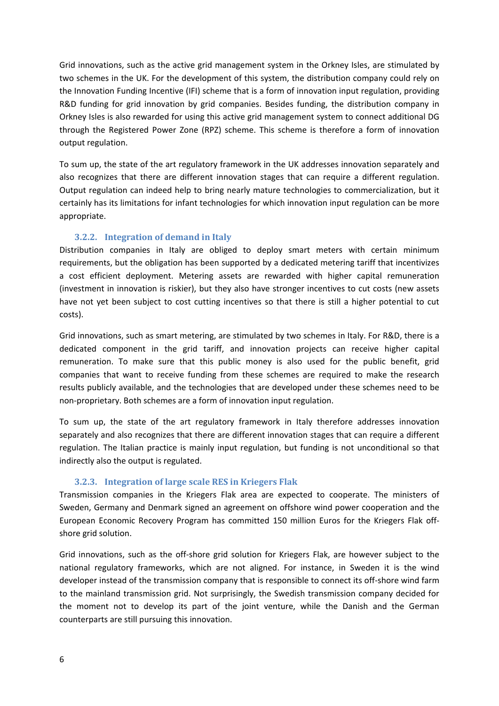Grid innovations, such as the active grid management system in the Orkney Isles, are stimulated by two schemes in the UK. For the development of this system, the distribution company could rely on the Innovation Funding Incentive (IFI) scheme that is a form of innovation input regulation, providing R&D funding for grid innovation by grid companies. Besides funding, the distribution company in Orkney Isles is also rewarded for using this active grid management system to connect additional DG through the Registered Power Zone (RPZ) scheme. This scheme is therefore a form of innovation output regulation.

To sum up, the state of the art regulatory framework in the UK addresses innovation separately and also recognizes that there are different innovation stages that can require a different regulation. Output regulation can indeed help to bring nearly mature technologies to commercialization, but it certainly has its limitations for infant technologies for which innovation input regulation can be more appropriate.

#### **3.2.2. Integration of demand in Italy**

Distribution companies in Italy are obliged to deploy smart meters with certain minimum requirements, but the obligation has been supported by a dedicated metering tariff that incentivizes a cost efficient deployment. Metering assets are rewarded with higher capital remuneration (investment in innovation is riskier), but they also have stronger incentives to cut costs (new assets have not yet been subject to cost cutting incentives so that there is still a higher potential to cut costs).

Grid innovations, such as smart metering, are stimulated by two schemes in Italy. For R&D, there is a dedicated component in the grid tariff, and innovation projects can receive higher capital remuneration. To make sure that this public money is also used for the public benefit, grid companies that want to receive funding from these schemes are required to make the research results publicly available, and the technologies that are developed under these schemes need to be non-proprietary. Both schemes are a form of innovation input regulation.

To sum up, the state of the art regulatory framework in Italy therefore addresses innovation separately and also recognizes that there are different innovation stages that can require a different regulation. The Italian practice is mainly input regulation, but funding is not unconditional so that indirectly also the output is regulated.

#### **3.2.3. Integration of large scale RES in Kriegers Flak**

Transmission companies in the Kriegers Flak area are expected to cooperate. The ministers of Sweden, Germany and Denmark signed an agreement on offshore wind power cooperation and the European Economic Recovery Program has committed 150 million Euros for the Kriegers Flak offshore grid solution.

Grid innovations, such as the off-shore grid solution for Kriegers Flak, are however subject to the national regulatory frameworks, which are not aligned. For instance, in Sweden it is the wind developer instead of the transmission company that is responsible to connect its off-shore wind farm to the mainland transmission grid. Not surprisingly, the Swedish transmission company decided for the moment not to develop its part of the joint venture, while the Danish and the German counterparts are still pursuing this innovation.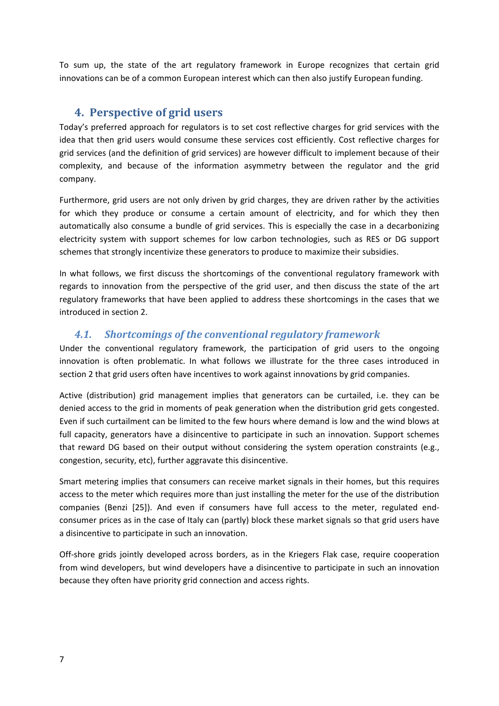To sum up, the state of the art regulatory framework in Europe recognizes that certain grid innovations can be of a common European interest which can then also justify European funding.

# **4. Perspective of grid users**

Today's preferred approach for regulators is to set cost reflective charges for grid services with the idea that then grid users would consume these services cost efficiently. Cost reflective charges for grid services (and the definition of grid services) are however difficult to implement because of their complexity, and because of the information asymmetry between the regulator and the grid company.

Furthermore, grid users are not only driven by grid charges, they are driven rather by the activities for which they produce or consume a certain amount of electricity, and for which they then automatically also consume a bundle of grid services. This is especially the case in a decarbonizing electricity system with support schemes for low carbon technologies, such as RES or DG support schemes that strongly incentivize these generators to produce to maximize their subsidies.

In what follows, we first discuss the shortcomings of the conventional regulatory framework with regards to innovation from the perspective of the grid user, and then discuss the state of the art regulatory frameworks that have been applied to address these shortcomings in the cases that we introduced in section 2.

# *4.1. Shortcomings of the conventional regulatory framework*

Under the conventional regulatory framework, the participation of grid users to the ongoing innovation is often problematic. In what follows we illustrate for the three cases introduced in section 2 that grid users often have incentives to work against innovations by grid companies.

Active (distribution) grid management implies that generators can be curtailed, i.e. they can be denied access to the grid in moments of peak generation when the distribution grid gets congested. Even if such curtailment can be limited to the few hours where demand is low and the wind blows at full capacity, generators have a disincentive to participate in such an innovation. Support schemes that reward DG based on their output without considering the system operation constraints (e.g., congestion, security, etc), further aggravate this disincentive.

Smart metering implies that consumers can receive market signals in their homes, but this requires access to the meter which requires more than just installing the meter for the use of the distribution companies (Benzi [25]). And even if consumers have full access to the meter, regulated endconsumer prices as in the case of Italy can (partly) block these market signals so that grid users have a disincentive to participate in such an innovation.

Off-shore grids jointly developed across borders, as in the Kriegers Flak case, require cooperation from wind developers, but wind developers have a disincentive to participate in such an innovation because they often have priority grid connection and access rights.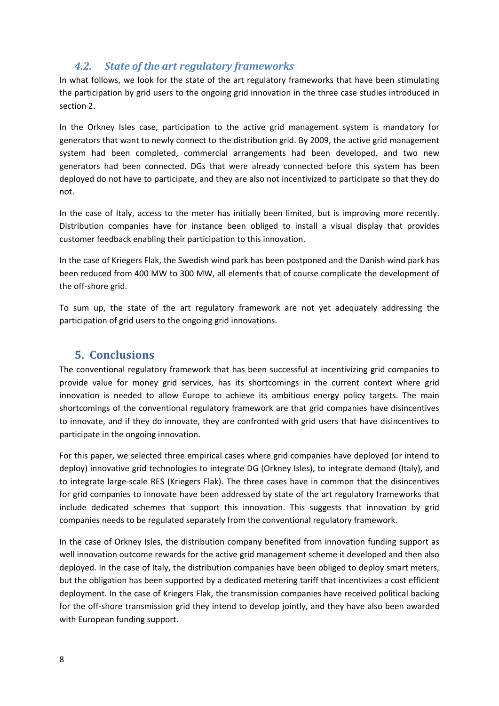# *4.2. State of the art regulatory frameworks*

In what follows, we look for the state of the art regulatory frameworks that have been stimulating the participation by grid users to the ongoing grid innovation in the three case studies introduced in section 2.

In the Orkney Isles case, participation to the active grid management system is mandatory for generators that want to newly connect to the distribution grid. By 2009, the active grid management system had been completed, commercial arrangements had been developed, and two new generators had been connected. DGs that were already connected before this system has been deployed do not have to participate, and they are also not incentivized to participate so that they do not.

In the case of Italy, access to the meter has initially been limited, but is improving more recently. Distribution companies have for instance been obliged to install a visual display that provides customer feedback enabling their participation to this innovation.

In the case of Kriegers Flak, the Swedish wind park has been postponed and the Danish wind park has been reduced from 400 MW to 300 MW, all elements that of course complicate the development of the off-shore grid.

To sum up, the state of the art regulatory framework are not yet adequately addressing the participation of grid users to the ongoing grid innovations.

# **5. Conclusions**

The conventional regulatory framework that has been successful at incentivizing grid companies to provide value for money grid services, has its shortcomings in the current context where grid innovation is needed to allow Europe to achieve its ambitious energy policy targets. The main shortcomings of the conventional regulatory framework are that grid companies have disincentives to innovate, and if they do innovate, they are confronted with grid users that have disincentives to participate in the ongoing innovation.

For this paper, we selected three empirical cases where grid companies have deployed (or intend to deploy) innovative grid technologies to integrate DG (Orkney Isles), to integrate demand (Italy), and to integrate large-scale RES (Kriegers Flak). The three cases have in common that the disincentives for grid companies to innovate have been addressed by state of the art regulatory frameworks that include dedicated schemes that support this innovation. This suggests that innovation by grid companies needs to be regulated separately from the conventional regulatory framework.

In the case of Orkney Isles, the distribution company benefited from innovation funding support as well innovation outcome rewards for the active grid management scheme it developed and then also deployed. In the case of Italy, the distribution companies have been obliged to deploy smart meters, but the obligation has been supported by a dedicated metering tariff that incentivizes a cost efficient deployment. In the case of Kriegers Flak, the transmission companies have received political backing for the off-shore transmission grid they intend to develop jointly, and they have also been awarded with European funding support.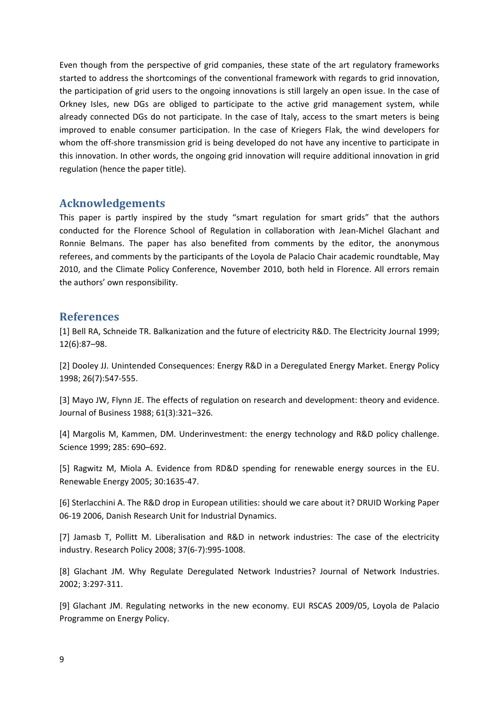Even though from the perspective of grid companies, these state of the art regulatory frameworks started to address the shortcomings of the conventional framework with regards to grid innovation, the participation of grid users to the ongoing innovations is still largely an open issue. In the case of Orkney Isles, new DGs are obliged to participate to the active grid management system, while already connected DGs do not participate. In the case of Italy, access to the smart meters is being improved to enable consumer participation. In the case of Kriegers Flak, the wind developers for whom the off-shore transmission grid is being developed do not have any incentive to participate in this innovation. In other words, the ongoing grid innovation will require additional innovation in grid regulation (hence the paper title).

### **Acknowledgements**

This paper is partly inspired by the study "smart regulation for smart grids" that the authors conducted for the Florence School of Regulation in collaboration with Jean-Michel Glachant and Ronnie Belmans. The paper has also benefited from comments by the editor, the anonymous referees, and comments by the participants of the Loyola de Palacio Chair academic roundtable, May 2010, and the Climate Policy Conference, November 2010, both held in Florence. All errors remain the authors' own responsibility.

### **References**

[1] Bell RA, Schneide TR. Balkanization and the future of electricity R&D. The Electricity Journal 1999; 12(6):87–98.

[2] Dooley JJ. Unintended Consequences: Energy R&D in a Deregulated Energy Market. Energy Policy 1998; 26(7):547-555.

[3] Mayo JW, Flynn JE. The effects of regulation on research and development: theory and evidence. Journal of Business 1988; 61(3):321–326.

[4] Margolis M, Kammen, DM. Underinvestment: the energy technology and R&D policy challenge. Science 1999; 285: 690–692.

[5] Ragwitz M, Miola A. Evidence from RD&D spending for renewable energy sources in the EU. Renewable Energy 2005; 30:1635-47.

[6] Sterlacchini A. The R&D drop in European utilities: should we care about it? DRUID Working Paper 06-19 2006, Danish Research Unit for Industrial Dynamics.

[7] Jamasb T, Pollitt M. Liberalisation and R&D in network industries: The case of the electricity industry. Research Policy 2008; 37(6-7):995-1008.

[8] Glachant JM. Why Regulate Deregulated Network Industries? Journal of Network Industries. 2002; 3:297-311.

[9] Glachant JM. Regulating networks in the new economy. EUI RSCAS 2009/05, Loyola de Palacio Programme on Energy Policy.